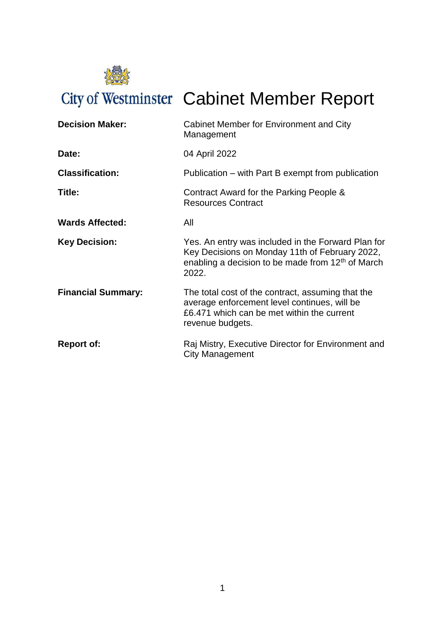

City of Westminster Cabinet Member Report

| <b>Decision Maker:</b>    | Cabinet Member for Environment and City<br>Management                                                                                                                |
|---------------------------|----------------------------------------------------------------------------------------------------------------------------------------------------------------------|
| Date:                     | 04 April 2022                                                                                                                                                        |
| <b>Classification:</b>    | Publication – with Part B exempt from publication                                                                                                                    |
| Title:                    | Contract Award for the Parking People &<br><b>Resources Contract</b>                                                                                                 |
| <b>Wards Affected:</b>    | All                                                                                                                                                                  |
| <b>Key Decision:</b>      | Yes. An entry was included in the Forward Plan for<br>Key Decisions on Monday 11th of February 2022,<br>enabling a decision to be made from $12th$ of March<br>2022. |
| <b>Financial Summary:</b> | The total cost of the contract, assuming that the<br>average enforcement level continues, will be<br>£6.471 which can be met within the current<br>revenue budgets.  |
| <b>Report of:</b>         | Raj Mistry, Executive Director for Environment and<br>City Management                                                                                                |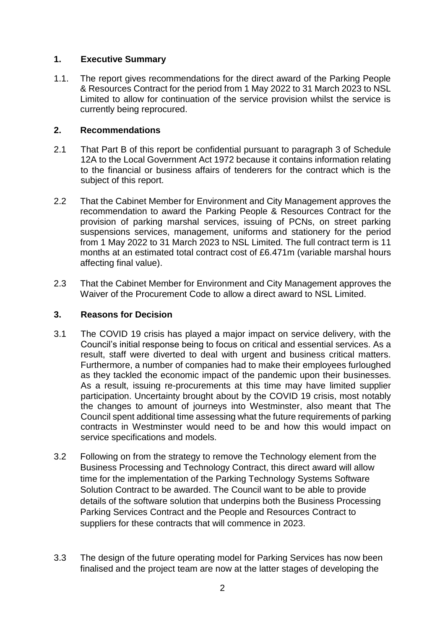## **1. Executive Summary**

1.1. The report gives recommendations for the direct award of the Parking People & Resources Contract for the period from 1 May 2022 to 31 March 2023 to NSL Limited to allow for continuation of the service provision whilst the service is currently being reprocured.

## **2. Recommendations**

- 2.1 That Part B of this report be confidential pursuant to paragraph 3 of Schedule 12A to the Local Government Act 1972 because it contains information relating to the financial or business affairs of tenderers for the contract which is the subject of this report.
- 2.2 That the Cabinet Member for Environment and City Management approves the recommendation to award the Parking People & Resources Contract for the provision of parking marshal services, issuing of PCNs, on street parking suspensions services, management, uniforms and stationery for the period from 1 May 2022 to 31 March 2023 to NSL Limited. The full contract term is 11 months at an estimated total contract cost of £6.471m (variable marshal hours affecting final value).
- 2.3 That the Cabinet Member for Environment and City Management approves the Waiver of the Procurement Code to allow a direct award to NSL Limited.

# **3. Reasons for Decision**

- 3.1 The COVID 19 crisis has played a major impact on service delivery, with the Council's initial response being to focus on critical and essential services. As a result, staff were diverted to deal with urgent and business critical matters. Furthermore, a number of companies had to make their employees furloughed as they tackled the economic impact of the pandemic upon their businesses. As a result, issuing re-procurements at this time may have limited supplier participation. Uncertainty brought about by the COVID 19 crisis, most notably the changes to amount of journeys into Westminster, also meant that The Council spent additional time assessing what the future requirements of parking contracts in Westminster would need to be and how this would impact on service specifications and models.
- 3.2 Following on from the strategy to remove the Technology element from the Business Processing and Technology Contract, this direct award will allow time for the implementation of the Parking Technology Systems Software Solution Contract to be awarded. The Council want to be able to provide details of the software solution that underpins both the Business Processing Parking Services Contract and the People and Resources Contract to suppliers for these contracts that will commence in 2023.
- 3.3 The design of the future operating model for Parking Services has now been finalised and the project team are now at the latter stages of developing the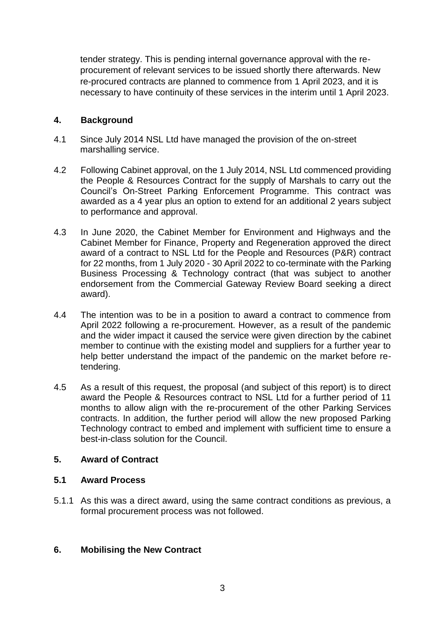tender strategy. This is pending internal governance approval with the reprocurement of relevant services to be issued shortly there afterwards. New re-procured contracts are planned to commence from 1 April 2023, and it is necessary to have continuity of these services in the interim until 1 April 2023.

## **4. Background**

- 4.1 Since July 2014 NSL Ltd have managed the provision of the on-street marshalling service.
- 4.2 Following Cabinet approval, on the 1 July 2014, NSL Ltd commenced providing the People & Resources Contract for the supply of Marshals to carry out the Council's On-Street Parking Enforcement Programme. This contract was awarded as a 4 year plus an option to extend for an additional 2 years subject to performance and approval.
- 4.3 In June 2020, the Cabinet Member for Environment and Highways and the Cabinet Member for Finance, Property and Regeneration approved the direct award of a contract to NSL Ltd for the People and Resources (P&R) contract for 22 months, from 1 July 2020 - 30 April 2022 to co-terminate with the Parking Business Processing & Technology contract (that was subject to another endorsement from the Commercial Gateway Review Board seeking a direct award).
- 4.4 The intention was to be in a position to award a contract to commence from April 2022 following a re-procurement. However, as a result of the pandemic and the wider impact it caused the service were given direction by the cabinet member to continue with the existing model and suppliers for a further year to help better understand the impact of the pandemic on the market before retendering.
- 4.5 As a result of this request, the proposal (and subject of this report) is to direct award the People & Resources contract to NSL Ltd for a further period of 11 months to allow align with the re-procurement of the other Parking Services contracts. In addition, the further period will allow the new proposed Parking Technology contract to embed and implement with sufficient time to ensure a best-in-class solution for the Council.

# **5. Award of Contract**

## **5.1 Award Process**

5.1.1 As this was a direct award, using the same contract conditions as previous, a formal procurement process was not followed.

# **6. Mobilising the New Contract**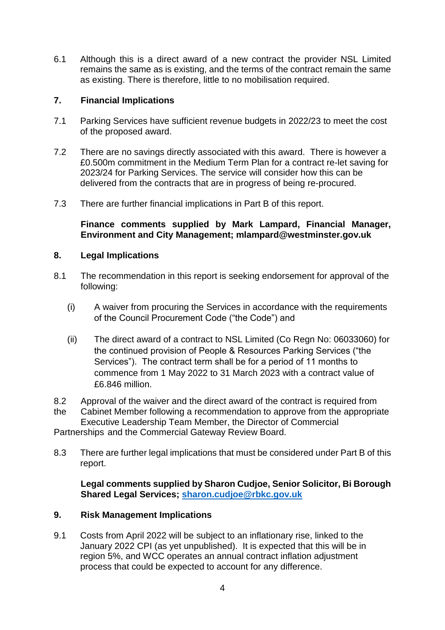6.1 Although this is a direct award of a new contract the provider NSL Limited remains the same as is existing, and the terms of the contract remain the same as existing. There is therefore, little to no mobilisation required.

## **7. Financial Implications**

- 7.1 Parking Services have sufficient revenue budgets in 2022/23 to meet the cost of the proposed award.
- 7.2 There are no savings directly associated with this award. There is however a £0.500m commitment in the Medium Term Plan for a contract re-let saving for 2023/24 for Parking Services. The service will consider how this can be delivered from the contracts that are in progress of being re-procured.
- 7.3 There are further financial implications in Part B of this report.

## **Finance comments supplied by Mark Lampard, Financial Manager, Environment and City Management; mlampard@westminster.gov.uk**

## **8. Legal Implications**

- 8.1 The recommendation in this report is seeking endorsement for approval of the following:
	- (i) A waiver from procuring the Services in accordance with the requirements of the Council Procurement Code ("the Code") and
	- (ii) The direct award of a contract to NSL Limited (Co Regn No: 06033060) for the continued provision of People & Resources Parking Services ("the Services"). The contract term shall be for a period of 11 months to commence from 1 May 2022 to 31 March 2023 with a contract value of £6.846 million.

8.2 Approval of the waiver and the direct award of the contract is required from

the Cabinet Member following a recommendation to approve from the appropriate Executive Leadership Team Member, the Director of Commercial Partnerships and the Commercial Gateway Review Board.

8.3 There are further legal implications that must be considered under Part B of this report.

## **Legal comments supplied by Sharon Cudjoe, Senior Solicitor, Bi Borough Shared Legal Services; [sharon.cudjoe@rbkc.gov.uk](mailto:sharon.cudjoe@rbkc.gov.uk)**

#### **9. Risk Management Implications**

9.1 Costs from April 2022 will be subject to an inflationary rise, linked to the January 2022 CPI (as yet unpublished). It is expected that this will be in region 5%, and WCC operates an annual contract inflation adjustment process that could be expected to account for any difference.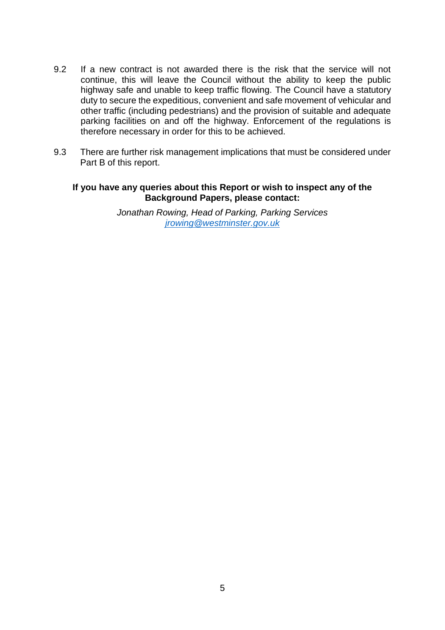- 9.2 If a new contract is not awarded there is the risk that the service will not continue, this will leave the Council without the ability to keep the public highway safe and unable to keep traffic flowing. The Council have a statutory duty to secure the expeditious, convenient and safe movement of vehicular and other traffic (including pedestrians) and the provision of suitable and adequate parking facilities on and off the highway. Enforcement of the regulations is therefore necessary in order for this to be achieved.
- 9.3 There are further risk management implications that must be considered under Part B of this report.

#### **If you have any queries about this Report or wish to inspect any of the Background Papers, please contact:**

*Jonathan Rowing, Head of Parking, Parking Services jrowin[g@westminster.gov.uk](mailto:dbudds@westminster.go.uk)*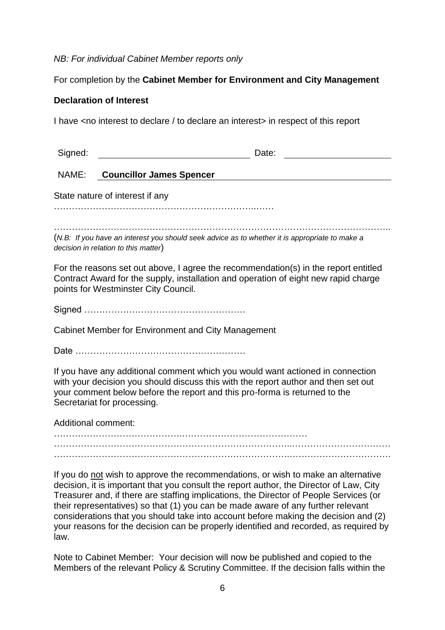# *NB: For individual Cabinet Member reports only*

# For completion by the **Cabinet Member for Environment and City Management**

## **Declaration of Interest**

I have <no interest to declare / to declare an interest> in respect of this report

| Signed:                                                                                                                                                                                                                                                                                                                                                                                                                                                                                                                                            | Date:                                                                                                                                  |
|----------------------------------------------------------------------------------------------------------------------------------------------------------------------------------------------------------------------------------------------------------------------------------------------------------------------------------------------------------------------------------------------------------------------------------------------------------------------------------------------------------------------------------------------------|----------------------------------------------------------------------------------------------------------------------------------------|
| NAME:                                                                                                                                                                                                                                                                                                                                                                                                                                                                                                                                              | <b>Councillor James Spencer</b>                                                                                                        |
| State nature of interest if any                                                                                                                                                                                                                                                                                                                                                                                                                                                                                                                    |                                                                                                                                        |
|                                                                                                                                                                                                                                                                                                                                                                                                                                                                                                                                                    |                                                                                                                                        |
|                                                                                                                                                                                                                                                                                                                                                                                                                                                                                                                                                    | (N.B: If you have an interest you should seek advice as to whether it is appropriate to make a<br>decision in relation to this matter) |
| For the reasons set out above, I agree the recommendation(s) in the report entitled<br>Contract Award for the supply, installation and operation of eight new rapid charge<br>points for Westminster City Council.                                                                                                                                                                                                                                                                                                                                 |                                                                                                                                        |
|                                                                                                                                                                                                                                                                                                                                                                                                                                                                                                                                                    |                                                                                                                                        |
| Cabinet Member for Environment and City Management                                                                                                                                                                                                                                                                                                                                                                                                                                                                                                 |                                                                                                                                        |
|                                                                                                                                                                                                                                                                                                                                                                                                                                                                                                                                                    |                                                                                                                                        |
| If you have any additional comment which you would want actioned in connection<br>with your decision you should discuss this with the report author and then set out<br>your comment below before the report and this pro-forma is returned to the<br>Secretariat for processing.                                                                                                                                                                                                                                                                  |                                                                                                                                        |
| <b>Additional comment:</b>                                                                                                                                                                                                                                                                                                                                                                                                                                                                                                                         |                                                                                                                                        |
|                                                                                                                                                                                                                                                                                                                                                                                                                                                                                                                                                    |                                                                                                                                        |
|                                                                                                                                                                                                                                                                                                                                                                                                                                                                                                                                                    |                                                                                                                                        |
| If you do not wish to approve the recommendations, or wish to make an alternative<br>decision, it is important that you consult the report author, the Director of Law, City<br>Treasurer and, if there are staffing implications, the Director of People Services (or<br>their representatives) so that (1) you can be made aware of any further relevant<br>considerations that you should take into account before making the decision and (2)<br>your reasons for the decision can be properly identified and recorded, as required by<br>law. |                                                                                                                                        |
|                                                                                                                                                                                                                                                                                                                                                                                                                                                                                                                                                    | Note to Cabinet Member: Your decision will now be published and copied to the                                                          |

Members of the relevant Policy & Scrutiny Committee. If the decision falls within the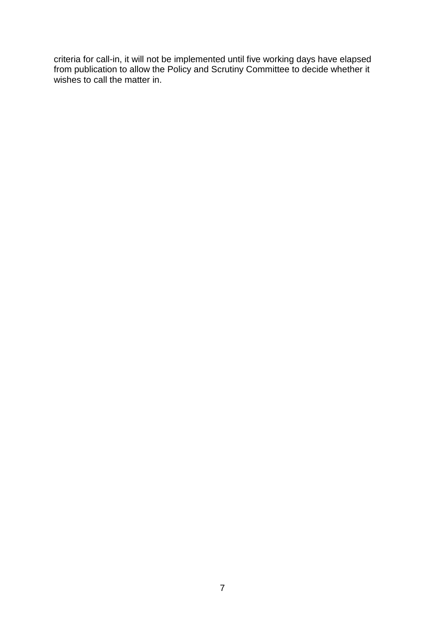criteria for call-in, it will not be implemented until five working days have elapsed from publication to allow the Policy and Scrutiny Committee to decide whether it wishes to call the matter in.